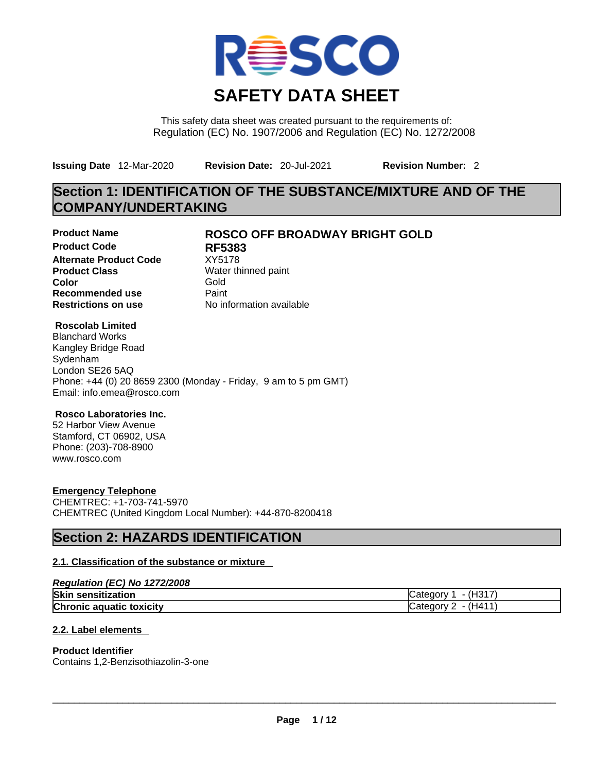

This safety data sheet was created pursuant to the requirements of: Regulation (EC) No. 1907/2006 and Regulation (EC) No. 1272/2008

**Issuing Date** 12-Mar-2020 **Revision Date:** 20-Jul-2021 **Revision Number:** 2

# **Section 1: IDENTIFICATION OF THE SUBSTANCE/MIXTURE AND OF THE COMPANY/UNDERTAKING**

**Product Code RF5383 Alternate Product Code Product Class Water thinned paint**<br> **Color** Gold **Color** Gold **Recommended use** Paint

# **Product Name ROSCO OFF BROADWAY BRIGHT GOLD**

**Restrictions on use** No information available

## **Roscolab Limited**

Blanchard Works Kangley Bridge Road Sydenham London SE26 5AQ Phone: +44 (0) 20 8659 2300 (Monday - Friday, 9 am to 5 pm GMT) Email: info.emea@rosco.com

## **Rosco Laboratories Inc.**

52 Harbor View Avenue Stamford, CT 06902, USA Phone: (203)-708-8900 www.rosco.com

# **Emergency Telephone**

CHEMTREC: +1-703-741-5970 CHEMTREC (United Kingdom Local Number): +44-870-8200418

# **Section 2: HAZARDS IDENTIFICATION**

# **2.1. Classification of the substance or mixture**

| Regulation (EC) No 1272/2008    |                        |
|---------------------------------|------------------------|
| <b>Skin sensitization</b>       | - (H317)<br>Category 1 |
| <b>Chronic aquatic toxicity</b> | Category $2 - (H411)$  |

# **2.2. Label elements**

## **Product Identifier**

Contains 1,2-Benzisothiazolin-3-one \_\_\_\_\_\_\_\_\_\_\_\_\_\_\_\_\_\_\_\_\_\_\_\_\_\_\_\_\_\_\_\_\_\_\_\_\_\_\_\_\_\_\_\_\_\_\_\_\_\_\_\_\_\_\_\_\_\_\_\_\_\_\_\_\_\_\_\_\_\_\_\_\_\_\_\_\_\_\_\_\_\_\_\_\_\_\_\_\_\_\_\_\_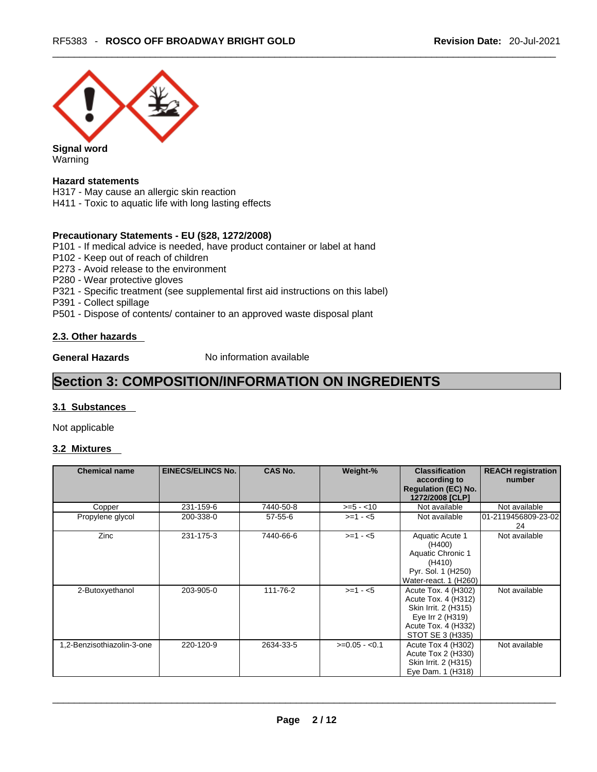

**Signal word** Warning

## **Hazard statements**

H317 - May cause an allergic skin reaction

H411 - Toxic to aquatic life with long lasting effects

## **Precautionary Statements - EU (§28, 1272/2008)**

P101 - If medical advice is needed, have product container or label at hand

P102 - Keep out of reach of children

P273 - Avoid release to the environment

- P280 Wear protective gloves
- P321 Specific treatment (see supplemental first aid instructions on this label)
- P391 Collect spillage

P501 - Dispose of contents/ container to an approved waste disposal plant

## **2.3. Other hazards**

**General Hazards No information available** 

# **Section 3: COMPOSITION/INFORMATION ON INGREDIENTS**

## **3.1 Substances**

Not applicable

# **3.2 Mixtures**

| <b>Chemical name</b>       | <b>EINECS/ELINCS No.</b> | <b>CAS No.</b> | Weight-%       | <b>Classification</b><br>according to<br><b>Regulation (EC) No.</b><br>1272/2008 [CLP]                                            | <b>REACH registration</b><br>number |
|----------------------------|--------------------------|----------------|----------------|-----------------------------------------------------------------------------------------------------------------------------------|-------------------------------------|
| Copper                     | 231-159-6                | 7440-50-8      | $>= 5 - 10$    | Not available                                                                                                                     | Not available                       |
| Propylene glycol           | 200-338-0                | $57 - 55 - 6$  | $>=1 - 5$      | Not available                                                                                                                     | l01-2119456809-23-02<br>24          |
| Zinc                       | 231-175-3                | 7440-66-6      | $>=1 - 5$      | Aquatic Acute 1<br>(H400)<br>Aquatic Chronic 1<br>(H410)<br>Pyr. Sol. 1 (H250)<br>Water-react. 1 (H260)                           | Not available                       |
| 2-Butoxyethanol            | 203-905-0                | 111-76-2       | $>=1 - 5$      | Acute Tox. 4 (H302)<br>Acute Tox. 4 (H312)<br>Skin Irrit. 2 (H315)<br>Eye Irr 2 (H319)<br>Acute Tox. 4 (H332)<br>STOT SE 3 (H335) | Not available                       |
| 1,2-Benzisothiazolin-3-one | 220-120-9                | 2634-33-5      | $>=0.05 - 0.1$ | Acute Tox 4 (H302)<br>Acute Tox 2 (H330)<br>Skin Irrit. 2 (H315)<br>Eye Dam. 1 (H318)                                             | Not available                       |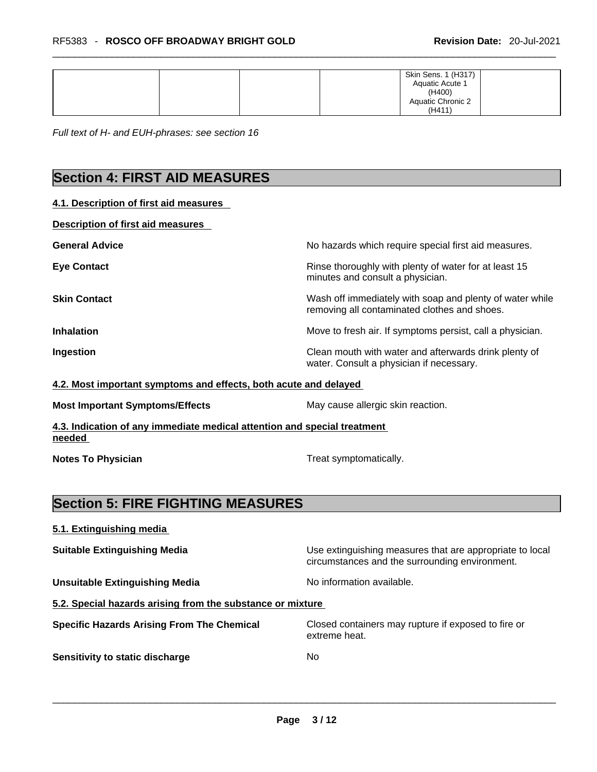|  |  | Skin Sens. 1 (H317)<br>Aquatic Acute 1 |  |
|--|--|----------------------------------------|--|
|  |  | (H400)                                 |  |
|  |  | Aquatic Chronic 2                      |  |
|  |  | (H411)                                 |  |

*Full text of H- and EUH-phrases: see section 16* 

# **Section 4: FIRST AID MEASURES**

**4.1. Description of first aid measures** 

| Description of first aid measures |                                                                                                          |
|-----------------------------------|----------------------------------------------------------------------------------------------------------|
| <b>General Advice</b>             | No hazards which require special first aid measures.                                                     |
| <b>Eye Contact</b>                | Rinse thoroughly with plenty of water for at least 15<br>minutes and consult a physician.                |
| <b>Skin Contact</b>               | Wash off immediately with soap and plenty of water while<br>removing all contaminated clothes and shoes. |
| <b>Inhalation</b>                 | Move to fresh air. If symptoms persist, call a physician.                                                |
| Ingestion                         | Clean mouth with water and afterwards drink plenty of<br>water. Consult a physician if necessary.        |

**4.2. Most important symptoms and effects, both acute and delayed**

**Most Important Symptoms/Effects** May cause allergic skin reaction.

**4.3. Indication of any immediate medical attention and special treatment needed** 

**Notes To Physician Treat symptomatically.** 

# **Section 5: FIRE FIGHTING MEASURES**

**5.1. Extinguishing media Suitable Extinguishing Media** Media Use extinguishing measures that are appropriate to local circumstances and the surrounding environment. **Unsuitable Extinguishing Media** Noinformation available. **5.2. Special hazards arising from the substance or mixture Specific Hazards Arising From The Chemical** Closed containers may rupture ifexposed to fire or extreme heat. **Sensitivity to static discharge** No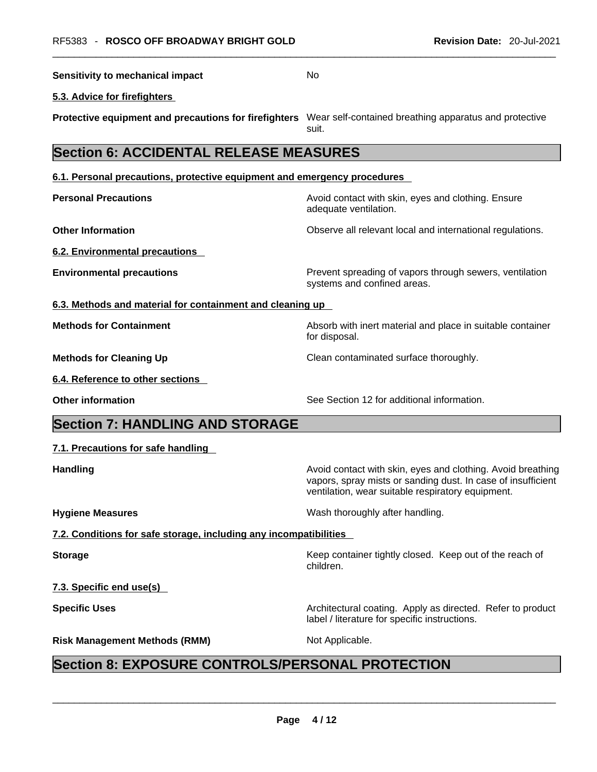| <b>Sensitivity to mechanical impact</b>                                                                      | No                                                                                                                                                                               |
|--------------------------------------------------------------------------------------------------------------|----------------------------------------------------------------------------------------------------------------------------------------------------------------------------------|
| 5.3. Advice for firefighters                                                                                 |                                                                                                                                                                                  |
| Protective equipment and precautions for firefighters Wear self-contained breathing apparatus and protective | suit.                                                                                                                                                                            |
| <b>Section 6: ACCIDENTAL RELEASE MEASURES</b>                                                                |                                                                                                                                                                                  |
| 6.1. Personal precautions, protective equipment and emergency procedures                                     |                                                                                                                                                                                  |
| <b>Personal Precautions</b>                                                                                  | Avoid contact with skin, eyes and clothing. Ensure<br>adequate ventilation.                                                                                                      |
| <b>Other Information</b>                                                                                     | Observe all relevant local and international regulations.                                                                                                                        |
| <b>6.2. Environmental precautions</b>                                                                        |                                                                                                                                                                                  |
| <b>Environmental precautions</b>                                                                             | Prevent spreading of vapors through sewers, ventilation<br>systems and confined areas.                                                                                           |
| 6.3. Methods and material for containment and cleaning up                                                    |                                                                                                                                                                                  |
| <b>Methods for Containment</b>                                                                               | Absorb with inert material and place in suitable container<br>for disposal.                                                                                                      |
| <b>Methods for Cleaning Up</b>                                                                               | Clean contaminated surface thoroughly.                                                                                                                                           |
| 6.4. Reference to other sections                                                                             |                                                                                                                                                                                  |
| <b>Other information</b>                                                                                     | See Section 12 for additional information.                                                                                                                                       |
| <b>Section 7: HANDLING AND STORAGE</b>                                                                       |                                                                                                                                                                                  |
| 7.1. Precautions for safe handling                                                                           |                                                                                                                                                                                  |
| <b>Handling</b>                                                                                              | Avoid contact with skin, eyes and clothing. Avoid breathing<br>vapors, spray mists or sanding dust. In case of insufficient<br>ventilation, wear suitable respiratory equipment. |
| <b>Hygiene Measures</b>                                                                                      | Wash thoroughly after handling.                                                                                                                                                  |
| 7.2. Conditions for safe storage, including any incompatibilities                                            |                                                                                                                                                                                  |
| <b>Storage</b>                                                                                               | Keep container tightly closed. Keep out of the reach of<br>children.                                                                                                             |
| 7.3. Specific end use(s)                                                                                     |                                                                                                                                                                                  |
| <b>Specific Uses</b>                                                                                         | Architectural coating. Apply as directed. Refer to product<br>label / literature for specific instructions.                                                                      |
|                                                                                                              | Not Applicable.                                                                                                                                                                  |

# **Page 4 / 12**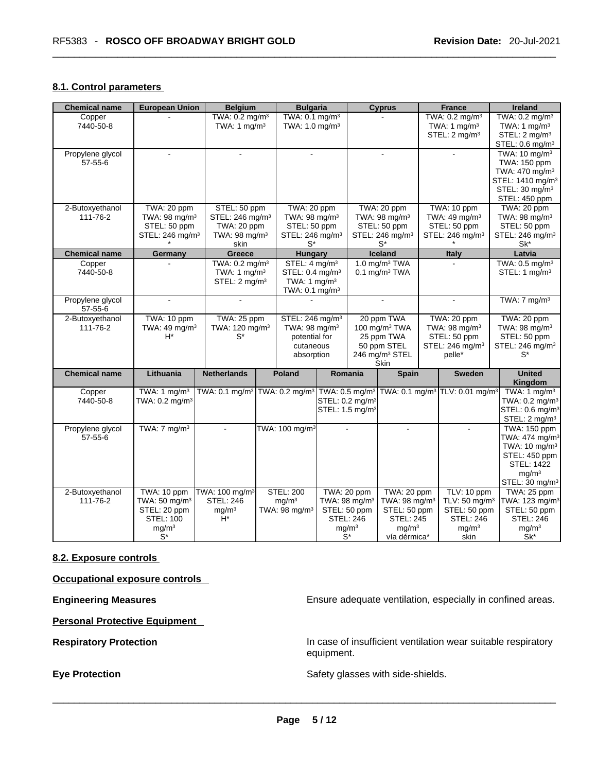# **8.1. Control parameters**

| <b>Chemical name</b>        | <b>European Union</b>       | <b>Belgium</b>              | <b>Bulgaria</b>             |                             |                           | <b>Cyprus</b>               | France                                                                                                       | Ireland                      |
|-----------------------------|-----------------------------|-----------------------------|-----------------------------|-----------------------------|---------------------------|-----------------------------|--------------------------------------------------------------------------------------------------------------|------------------------------|
| Copper                      |                             | TWA: 0.2 mg/m <sup>3</sup>  | TWA: 0.1 mg/m <sup>3</sup>  |                             |                           |                             | TWA: 0.2 mg/m <sup>3</sup>                                                                                   | TWA: 0.2 mg/m <sup>3</sup>   |
| 7440-50-8                   |                             | TWA: $1 \text{ mg/m}^3$     | TWA: 1.0 mg/m <sup>3</sup>  |                             |                           |                             | TWA: 1 $mg/m3$                                                                                               | TWA: $1 \text{ mg/m}^3$      |
|                             |                             |                             |                             |                             |                           |                             | STEL: 2 mg/m <sup>3</sup>                                                                                    | STEL: 2 mg/m <sup>3</sup>    |
|                             |                             |                             |                             |                             |                           |                             |                                                                                                              | STEL: 0.6 mg/m <sup>3</sup>  |
| Propylene glycol            |                             |                             |                             |                             |                           |                             |                                                                                                              | TWA: 10 mg/m <sup>3</sup>    |
| $57 - 55 - 6$               |                             |                             |                             |                             |                           |                             |                                                                                                              | TWA: 150 ppm                 |
|                             |                             |                             |                             |                             |                           |                             |                                                                                                              | TWA: 470 mg/m <sup>3</sup>   |
|                             |                             |                             |                             |                             |                           |                             |                                                                                                              | STEL: 1410 mg/m <sup>3</sup> |
|                             |                             |                             |                             |                             |                           |                             |                                                                                                              |                              |
|                             |                             |                             |                             |                             |                           |                             |                                                                                                              | STEL: 30 mg/m <sup>3</sup>   |
|                             |                             |                             |                             |                             |                           |                             |                                                                                                              | STEL: 450 ppm                |
| 2-Butoxyethanol             | TWA: 20 ppm                 | STEL: 50 ppm                | TWA: 20 ppm                 |                             |                           | TWA: 20 ppm                 | TWA: 10 ppm                                                                                                  | TWA: 20 ppm                  |
| 111-76-2                    | TWA: 98 mg/m <sup>3</sup>   | STEL: 246 mg/m <sup>3</sup> | TWA: 98 mg/m <sup>3</sup>   |                             |                           | TWA: 98 mg/m <sup>3</sup>   | TWA: 49 mg/m <sup>3</sup>                                                                                    | TWA: 98 mg/m <sup>3</sup>    |
|                             | STEL: 50 ppm                | TWA: 20 ppm                 | STEL: 50 ppm                |                             |                           | STEL: 50 ppm                | STEL: 50 ppm                                                                                                 | STEL: 50 ppm                 |
|                             | STEL: 246 mg/m <sup>3</sup> | TWA: 98 mg/m <sup>3</sup>   | STEL: 246 mg/m <sup>3</sup> |                             |                           | STEL: 246 mg/m <sup>3</sup> | STEL: 246 mg/m <sup>3</sup>                                                                                  | STEL: 246 mg/m <sup>3</sup>  |
|                             |                             | skin                        | $S^*$                       |                             |                           | $S^*$                       |                                                                                                              | Sk*                          |
| <b>Chemical name</b>        | Germany                     | <b>Greece</b>               | <b>Hungary</b>              |                             |                           | Iceland                     | <b>Italy</b>                                                                                                 | Latvia                       |
| Copper                      |                             | TWA: 0.2 mg/m <sup>3</sup>  | STEL: 4 mg/m <sup>3</sup>   |                             |                           | 1.0 mg/m <sup>3</sup> TWA   |                                                                                                              | TWA: 0.5 mg/m <sup>3</sup>   |
| 7440-50-8                   |                             | TWA: $1 \text{ mg/m}^3$     | STEL: 0.4 mg/m <sup>3</sup> |                             |                           | $0.1$ mg/m <sup>3</sup> TWA |                                                                                                              | STEL: 1 mg/m <sup>3</sup>    |
|                             |                             | STEL: 2 mg/m <sup>3</sup>   | TWA: 1 $mg/m3$              |                             |                           |                             |                                                                                                              |                              |
|                             |                             |                             | TWA: 0.1 mg/m <sup>3</sup>  |                             |                           |                             |                                                                                                              |                              |
|                             |                             |                             |                             |                             |                           |                             |                                                                                                              |                              |
| Propylene glycol<br>57-55-6 |                             |                             |                             |                             |                           |                             |                                                                                                              | TWA: $7 \text{ mg/m}^3$      |
| 2-Butoxyethanol             | TWA: 10 ppm                 | TWA: 25 ppm                 | STEL: 246 mg/m <sup>3</sup> |                             |                           | 20 ppm TWA                  | TWA: 20 ppm                                                                                                  | TWA: 20 ppm                  |
| 111-76-2                    | TWA: 49 mg/m <sup>3</sup>   | TWA: 120 mg/m <sup>3</sup>  | TWA: 98 mg/m <sup>3</sup>   |                             |                           | 100 mg/m <sup>3</sup> TWA   | TWA: 98 mg/m <sup>3</sup>                                                                                    | TWA: 98 mg/m <sup>3</sup>    |
|                             | $H^*$                       | $S^*$                       | potential for               |                             |                           | 25 ppm TWA                  | STEL: 50 ppm                                                                                                 | STEL: 50 ppm                 |
|                             |                             |                             | cutaneous                   |                             |                           | 50 ppm STEL                 | STEL: 246 mg/m <sup>3</sup>                                                                                  | STEL: 246 mg/m <sup>3</sup>  |
|                             |                             |                             | absorption                  |                             |                           | 246 mg/m <sup>3</sup> STEL  | pelle*                                                                                                       | $S^*$                        |
|                             |                             |                             |                             |                             |                           | <b>Skin</b>                 |                                                                                                              |                              |
| <b>Chemical name</b>        | Lithuania                   | <b>Netherlands</b>          | <b>Poland</b>               |                             | Romania                   | Spain                       | <b>Sweden</b>                                                                                                | <b>United</b>                |
|                             |                             |                             |                             |                             |                           |                             |                                                                                                              | <b>Kingdom</b>               |
|                             |                             |                             |                             |                             |                           |                             |                                                                                                              |                              |
| Copper                      | TWA: $1 \text{ mg/m}^3$     | TWA: 0.1 mg/m <sup>3</sup>  |                             |                             |                           |                             | TWA: 0.2 mg/m <sup>3</sup> TWA: 0.5 mg/m <sup>3</sup> TWA: 0.1 mg/m <sup>3</sup> TLV: 0.01 mg/m <sup>3</sup> | TWA: $1 \text{ mg/m}^3$      |
| 7440-50-8                   | TWA: 0.2 mg/m <sup>3</sup>  |                             |                             | STEL: 0.2 mg/m <sup>3</sup> |                           |                             |                                                                                                              | TWA: 0.2 mg/m <sup>3</sup>   |
|                             |                             |                             |                             | STEL: 1.5 mg/m <sup>3</sup> |                           |                             |                                                                                                              | STEL: 0.6 mg/m <sup>3</sup>  |
|                             |                             |                             |                             |                             |                           |                             |                                                                                                              | STEL: 2 mg/m <sup>3</sup>    |
| Propylene glycol            | TWA: $7 \text{ mg/m}^3$     | $\blacksquare$              | TWA: 100 mg/m <sup>3</sup>  |                             | $\mathbf{r}$              | $\sim$                      | $\sim$                                                                                                       | TWA: 150 ppm                 |
| $57 - 55 - 6$               |                             |                             |                             |                             |                           |                             |                                                                                                              | TWA: 474 mg/m <sup>3</sup>   |
|                             |                             |                             |                             |                             |                           |                             |                                                                                                              | TWA: 10 mg/m <sup>3</sup>    |
|                             |                             |                             |                             |                             |                           |                             |                                                                                                              | STEL: 450 ppm                |
|                             |                             |                             |                             |                             |                           |                             |                                                                                                              | <b>STEL: 1422</b>            |
|                             |                             |                             |                             |                             |                           |                             |                                                                                                              | mg/m <sup>3</sup>            |
|                             |                             |                             |                             |                             |                           |                             |                                                                                                              | STEL: 30 mg/m <sup>3</sup>   |
| 2-Butoxyethanol             | TWA: 10 ppm                 | TWA: 100 mg/m <sup>3</sup>  | <b>STEL: 200</b>            | TWA: 20 ppm                 |                           | TWA: 20 ppm                 | TLV: 10 ppm                                                                                                  | TWA: 25 ppm                  |
| 111-76-2                    |                             | <b>STEL: 246</b>            | mq/m <sup>3</sup>           |                             | TWA: 98 mg/m <sup>3</sup> | TWA: 98 mg/m <sup>3</sup>   | TLV: 50 mg/m <sup>3</sup>                                                                                    | TWA: 123 mg/m <sup>3</sup>   |
|                             | TWA: 50 mg/m <sup>3</sup>   |                             |                             |                             |                           |                             |                                                                                                              |                              |
|                             | STEL: 20 ppm                | mg/m <sup>3</sup>           | TWA: 98 mg/m <sup>3</sup>   |                             | STEL: 50 ppm              | STEL: 50 ppm                | STEL: 50 ppm                                                                                                 | STEL: 50 ppm                 |
|                             | <b>STEL: 100</b>            | $H^*$                       |                             |                             | <b>STEL: 246</b>          | <b>STEL: 245</b>            | <b>STEL: 246</b>                                                                                             | <b>STEL: 246</b>             |
|                             | mg/m <sup>3</sup>           |                             |                             |                             | mg/m <sup>3</sup>         | mq/m <sup>3</sup>           | mq/m <sup>3</sup>                                                                                            | mq/m <sup>3</sup>            |
|                             | $\bar{S}^*$                 |                             |                             |                             | $S^*$                     | vía dérmica*                | skin                                                                                                         | Sk*                          |

# **8.2. Exposure controls**

**Occupational exposure controls** 

**Personal Protective Equipment** 

**Engineering Measures Ensure 2018** Ensure adequate ventilation, especially in confined areas.

**Respiratory Protection In case of insufficient ventilation wear suitable respiratory** equipment.

**Eye Protection** Safety glasses with side-shields. \_\_\_\_\_\_\_\_\_\_\_\_\_\_\_\_\_\_\_\_\_\_\_\_\_\_\_\_\_\_\_\_\_\_\_\_\_\_\_\_\_\_\_\_\_\_\_\_\_\_\_\_\_\_\_\_\_\_\_\_\_\_\_\_\_\_\_\_\_\_\_\_\_\_\_\_\_\_\_\_\_\_\_\_\_\_\_\_\_\_\_\_\_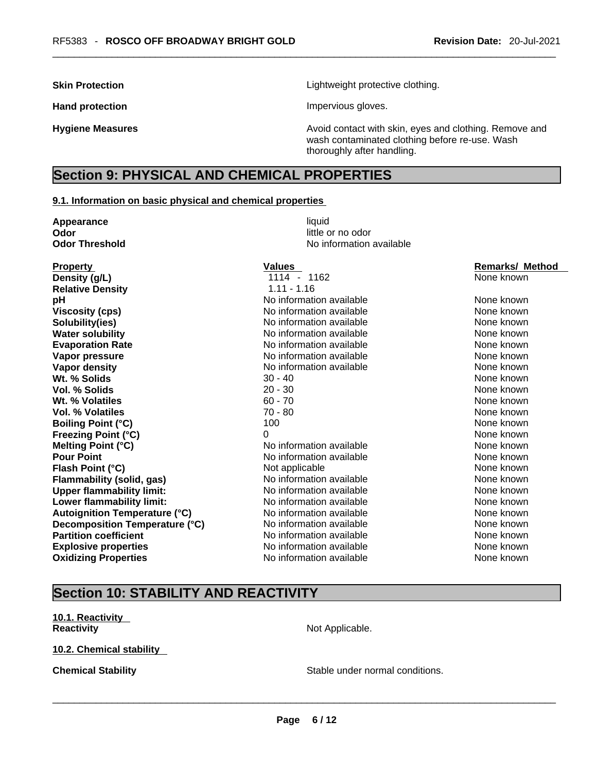**Skin Protection Contract Contract Extending Lightweight protective clothing.** 

Hand protection **Impervious gloves**.

**Hygiene Measures Avoid contact with skin, eyes and clothing. Remove and Avoid contact with skin, eyes and clothing. Remove and Avoid contact with skin, eyes and clothing. Remove and** wash contaminated clothing before re-use. Wash thoroughly after handling.

# **Section 9: PHYSICAL AND CHEMICAL PROPERTIES**

#### **9.1. Information on basic physical and chemical properties**

| Appearance                           | liquid                   |                        |
|--------------------------------------|--------------------------|------------------------|
| Odor                                 | little or no odor        |                        |
| <b>Odor Threshold</b>                | No information available |                        |
| <b>Property</b>                      | <b>Values</b>            | <b>Remarks/ Method</b> |
| Density (g/L)                        | 1114 - 1162              | None known             |
| <b>Relative Density</b>              | $1.11 - 1.16$            |                        |
| pH                                   | No information available | None known             |
| <b>Viscosity (cps)</b>               | No information available | None known             |
| Solubility(ies)                      | No information available | None known             |
| <b>Water solubility</b>              | No information available | None known             |
| <b>Evaporation Rate</b>              | No information available | None known             |
| Vapor pressure                       | No information available | None known             |
| Vapor density                        | No information available | None known             |
| Wt. % Solids                         | $30 - 40$                | None known             |
| Vol. % Solids                        | $20 - 30$                | None known             |
| Wt. % Volatiles                      | $60 - 70$                | None known             |
| Vol. % Volatiles                     | $70 - 80$                | None known             |
| <b>Boiling Point (°C)</b>            | 100                      | None known             |
| <b>Freezing Point (°C)</b>           | 0                        | None known             |
| <b>Melting Point (°C)</b>            | No information available | None known             |
| <b>Pour Point</b>                    | No information available | None known             |
| Flash Point (°C)                     | Not applicable           | None known             |
| <b>Flammability (solid, gas)</b>     | No information available | None known             |
| <b>Upper flammability limit:</b>     | No information available | None known             |
| Lower flammability limit:            | No information available | None known             |
| <b>Autoignition Temperature (°C)</b> | No information available | None known             |
| Decomposition Temperature (°C)       | No information available | None known             |
| <b>Partition coefficient</b>         | No information available | None known             |
| <b>Explosive properties</b>          | No information available | None known             |
| <b>Oxidizing Properties</b>          | No information available | None known             |
|                                      |                          |                        |

# **Section 10: STABILITY AND REACTIVITY**

**10.1. Reactivity Reactivity Not Applicable.** 

**10.2. Chemical stability** 

**Chemical Stability Chemical Stability** Stable under normal conditions.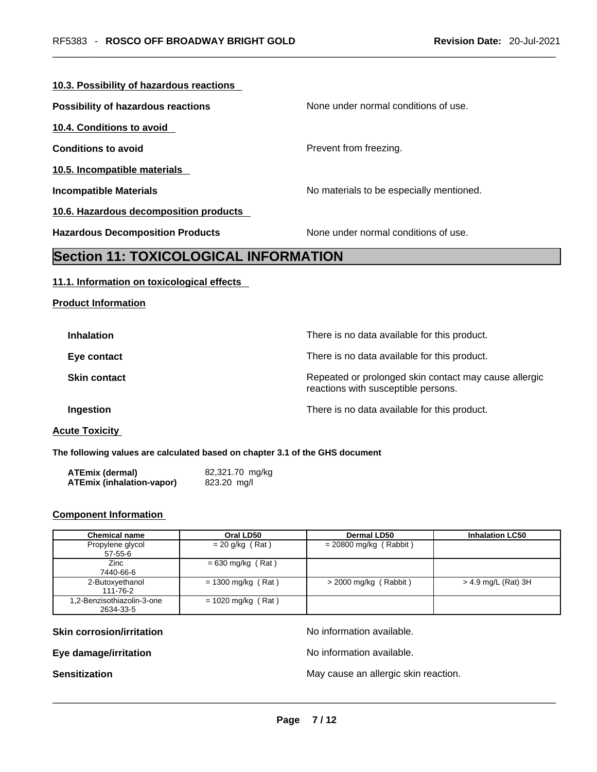#### **10.3. Possibility of hazardous reactions**

| Possibility of hazardous reactions           | None under normal conditions of use.     |
|----------------------------------------------|------------------------------------------|
| 10.4. Conditions to avoid                    |                                          |
| <b>Conditions to avoid</b>                   | Prevent from freezing.                   |
| 10.5. Incompatible materials                 |                                          |
| <b>Incompatible Materials</b>                | No materials to be especially mentioned. |
| 10.6. Hazardous decomposition products       |                                          |
| <b>Hazardous Decomposition Products</b>      | None under normal conditions of use.     |
| <b>Section 11: TOXICOLOGICAL INFORMATION</b> |                                          |

# **11.1. Information on toxicological effects**

**Product Information**

| <b>Inhalation</b>   | There is no data available for this product.                                                 |
|---------------------|----------------------------------------------------------------------------------------------|
| Eye contact         | There is no data available for this product.                                                 |
| <b>Skin contact</b> | Repeated or prolonged skin contact may cause allergic<br>reactions with susceptible persons. |
| Ingestion           | There is no data available for this product.                                                 |
|                     |                                                                                              |

# **Acute Toxicity**

**The following values are calculated based on chapter 3.1 of the GHS document**

| ATEmix (dermal)                  | 82,321.70 mg/kg |
|----------------------------------|-----------------|
| <b>ATEmix (inhalation-vapor)</b> | 823.20 mg/l     |

# **Component Information**

| <b>Chemical name</b>                    | Oral LD50            | Dermal LD50              | <b>Inhalation LC50</b> |
|-----------------------------------------|----------------------|--------------------------|------------------------|
| Propylene glycol<br>57-55-6             | $= 20$ g/kg (Rat)    | $= 20800$ mg/kg (Rabbit) |                        |
| <b>Zinc</b><br>7440-66-6                | $= 630$ mg/kg (Rat)  |                          |                        |
| 2-Butoxyethanol<br>111-76-2             | $= 1300$ mg/kg (Rat) | $>$ 2000 mg/kg (Rabbit)  | $>$ 4.9 mg/L (Rat) 3H  |
| 1,2-Benzisothiazolin-3-one<br>2634-33-5 | $= 1020$ mg/kg (Rat) |                          |                        |

**Skin corrosion/irritation No information available.** 

**Eye damage/irritation No information available.** 

**Sensitization** May cause an allergic skin reaction. \_\_\_\_\_\_\_\_\_\_\_\_\_\_\_\_\_\_\_\_\_\_\_\_\_\_\_\_\_\_\_\_\_\_\_\_\_\_\_\_\_\_\_\_\_\_\_\_\_\_\_\_\_\_\_\_\_\_\_\_\_\_\_\_\_\_\_\_\_\_\_\_\_\_\_\_\_\_\_\_\_\_\_\_\_\_\_\_\_\_\_\_\_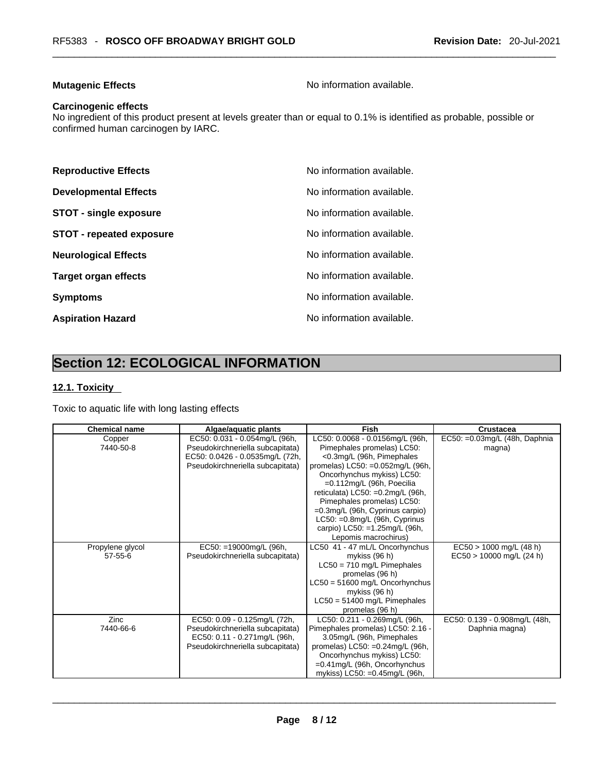# **Mutagenic Effects Mutagenic Effects No information available.**

#### **Carcinogenic effects**

No ingredient of this product present at levels greater than or equal to 0.1% is identified as probable, possible or confirmed human carcinogen by IARC.

| <b>Reproductive Effects</b>     | No information available. |
|---------------------------------|---------------------------|
| <b>Developmental Effects</b>    | No information available. |
| <b>STOT - single exposure</b>   | No information available. |
| <b>STOT - repeated exposure</b> | No information available. |
| <b>Neurological Effects</b>     | No information available. |
| <b>Target organ effects</b>     | No information available. |
| <b>Symptoms</b>                 | No information available. |
| <b>Aspiration Hazard</b>        | No information available. |

# **Section 12: ECOLOGICAL INFORMATION**

# **12.1. Toxicity**

Toxic to aquatic life with long lasting effects

| <b>Chemical name</b>              | Algae/aquatic plants                                                                                                                     | <b>Fish</b>                                                                                                                                                                                                                                                                                                                                                                                       | Crustacea                                               |
|-----------------------------------|------------------------------------------------------------------------------------------------------------------------------------------|---------------------------------------------------------------------------------------------------------------------------------------------------------------------------------------------------------------------------------------------------------------------------------------------------------------------------------------------------------------------------------------------------|---------------------------------------------------------|
| Copper<br>7440-50-8               | EC50: 0.031 - 0.054mg/L (96h,<br>Pseudokirchneriella subcapitata)<br>EC50: 0.0426 - 0.0535mg/L (72h,<br>Pseudokirchneriella subcapitata) | LC50: 0.0068 - 0.0156mg/L (96h,<br>Pimephales promelas) LC50:<br><0.3mg/L (96h, Pimephales<br>promelas) LC50: =0.052mg/L (96h,<br>Oncorhynchus mykiss) LC50:<br>$=0.112$ mg/L (96h, Poecilia<br>reticulata) LC50: =0.2mg/L (96h,<br>Pimephales promelas) LC50:<br>$=0.3$ mg/L (96h, Cyprinus carpio)<br>$LC50: =0.8$ mg/L (96h, Cyprinus<br>carpio) LC50: =1.25mg/L (96h,<br>Lepomis macrochirus) | EC50: = 0.03mg/L (48h, Daphnia<br>magna)                |
| Propylene glycol<br>$57 - 55 - 6$ | EC50: =19000mg/L (96h,<br>Pseudokirchneriella subcapitata)                                                                               | LC50 41 - 47 mL/L Oncorhynchus<br>mykiss (96 h)<br>$LC50 = 710$ mg/L Pimephales<br>promelas (96 h)<br>LC50 = 51600 mg/L Oncorhynchus<br>mykiss (96 h)<br>$LC50 = 51400$ mg/L Pimephales<br>promelas (96 h)                                                                                                                                                                                        | $EC50 > 1000$ mg/L (48 h)<br>$EC50 > 10000$ mg/L (24 h) |
| Zinc<br>7440-66-6                 | EC50: 0.09 - 0.125mg/L (72h,<br>Pseudokirchneriella subcapitata)<br>EC50: 0.11 - 0.271mg/L (96h,<br>Pseudokirchneriella subcapitata)     | LC50: 0.211 - 0.269mg/L (96h,<br>Pimephales promelas) LC50: 2.16 -<br>3.05mg/L (96h, Pimephales<br>promelas) LC50: =0.24mg/L (96h,<br>Oncorhynchus mykiss) LC50:<br>$=0.41$ mg/L (96h, Oncorhynchus<br>mykiss) LC50: =0.45mg/L (96h,                                                                                                                                                              | EC50: 0.139 - 0.908mg/L (48h,<br>Daphnia magna)         |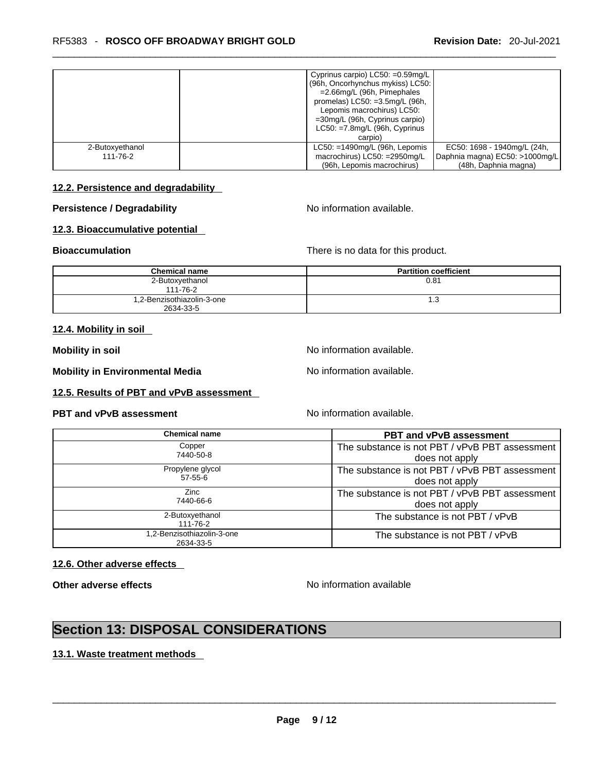|                             | Cyprinus carpio) $LC50: =0.59mg/L$<br>(96h, Oncorhynchus mykiss) LC50:<br>$=$ 2.66mg/L (96h, Pimephales<br>promelas) $LC50: =3.5mg/L$ (96h,<br>Lepomis macrochirus) LC50:<br>$=30$ mg/L (96h, Cyprinus carpio)<br>$LC50: = 7.8$ mg/L (96h, Cyprinus<br>carpio) |
|-----------------------------|----------------------------------------------------------------------------------------------------------------------------------------------------------------------------------------------------------------------------------------------------------------|
| 2-Butoxyethanol<br>111-76-2 | $LC50: = 1490$ mg/L (96h, Lepomis<br>EC50: 1698 - 1940mg/L (24h,<br>macrochirus) LC50: =2950mg/L<br>Daphnia magna) EC50: >1000mg/L<br>(96h, Lepomis macrochirus)<br>(48h, Daphnia magna)                                                                       |

# **12.2. Persistence and degradability**

# **Persistence / Degradability No information available.**

## **12.3. Bioaccumulative potential**

**Bioaccumulation Bioaccumulation There is no data for this product.** 

| <b>Chemical name</b>                    | <b>Partition coefficient</b> |
|-----------------------------------------|------------------------------|
| 2-Butoxyethanol<br>111-76-2             | 0.81                         |
| 1,2-Benzisothiazolin-3-one<br>2634-33-5 | 1.3                          |

#### **12.4. Mobility in soil**

**Mobility in soil Mobility in soil Mobility in soil Mo Mo information available.** 

**Mobility in Environmental Media** Noinformation available.

**12.5. Results of PBT and vPvB assessment** 

# **PBT** and **vPvB** assessment No information available.

| <b>Chemical name</b>       | <b>PBT and vPvB assessment</b>                 |
|----------------------------|------------------------------------------------|
| Copper                     | The substance is not PBT / vPvB PBT assessment |
| 7440-50-8                  | does not apply                                 |
| Propylene glycol           | The substance is not PBT / vPvB PBT assessment |
| $57 - 55 - 6$              | does not apply                                 |
| Zinc<br>7440-66-6          | The substance is not PBT / vPvB PBT assessment |
|                            | does not apply                                 |
| 2-Butoxyethanol            | The substance is not PBT / vPvB                |
| 111-76-2                   |                                                |
| 1,2-Benzisothiazolin-3-one | The substance is not PBT / vPvB                |
| 2634-33-5                  |                                                |

# **12.6. Other adverse effects**

**Other adverse effects No information available No information available** 

# **Section 13: DISPOSAL CONSIDERATIONS**

# **13.1. Waste treatment methods**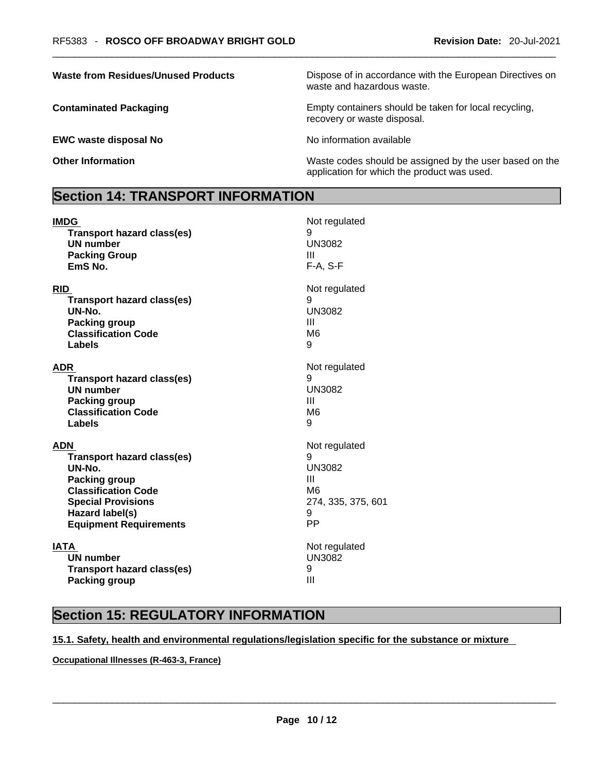**EWC waste disposal No** <br>No information available

**Waste from Residues/Unused Products** Dispose of in accordance with the European Directives on waste and hazardous waste.

**Contaminated Packaging <b>Empty Containers** should be taken for local recycling, recovery or waste disposal.

**Other Information** Maste codes should be assigned by the user based on the USC of the user based on the application for which the product was used.

# **Section 14: TRANSPORT INFORMATION**

| <b>IMDG</b>                       | Not regulated      |
|-----------------------------------|--------------------|
| <b>Transport hazard class(es)</b> | 9                  |
| <b>UN number</b>                  | <b>UN3082</b>      |
| <b>Packing Group</b>              | Ш                  |
| EmS No.                           | F-A, S-F           |
| <b>RID</b>                        | Not regulated      |
| <b>Transport hazard class(es)</b> | 9                  |
| UN-No.                            | <b>UN3082</b>      |
| <b>Packing group</b>              | Ш                  |
| <b>Classification Code</b>        | M <sub>6</sub>     |
| Labels                            | 9                  |
| <b>ADR</b>                        | Not regulated      |
| <b>Transport hazard class(es)</b> | 9                  |
| <b>UN number</b>                  | <b>UN3082</b>      |
| <b>Packing group</b>              | Ш                  |
| <b>Classification Code</b>        | M <sub>6</sub>     |
| Labels                            | 9                  |
| ADN                               | Not regulated      |
| <b>Transport hazard class(es)</b> | 9                  |
| UN-No.                            | <b>UN3082</b>      |
| <b>Packing group</b>              | Ш                  |
| <b>Classification Code</b>        | M <sub>6</sub>     |
| <b>Special Provisions</b>         | 274, 335, 375, 601 |
| Hazard label(s)                   | 9                  |
| <b>Equipment Requirements</b>     | PP                 |
| <b>IATA</b>                       | Not regulated      |
| <b>UN number</b>                  | <b>UN3082</b>      |
| <b>Transport hazard class(es)</b> | 9                  |
| <b>Packing group</b>              | Ш                  |

# **Section 15: REGULATORY INFORMATION**

# **15.1. Safety, health and environmental regulations/legislation specific for the substance or mixture**

**Occupational Illnesses (R-463-3, France)**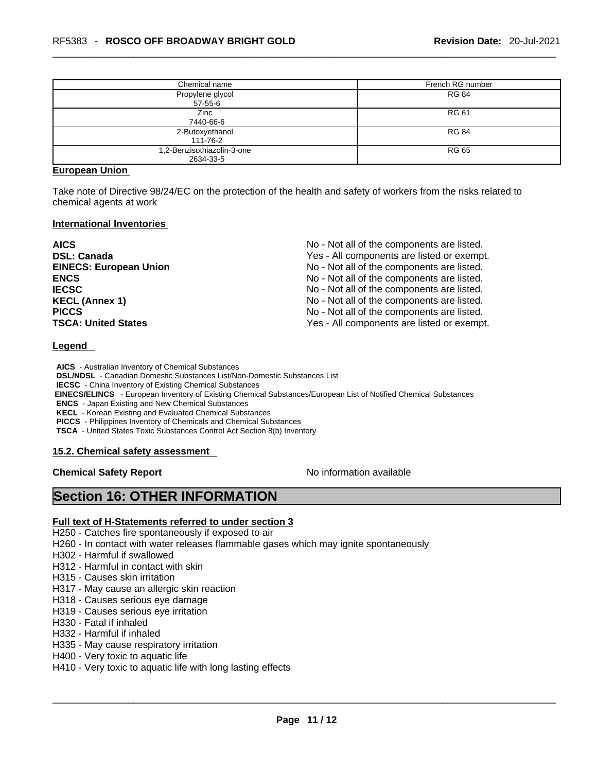| Chemical name                           | French RG number |
|-----------------------------------------|------------------|
| Propylene glycol<br>$57 - 55 - 6$       | <b>RG 84</b>     |
| Zinc<br>7440-66-6                       | <b>RG 61</b>     |
| 2-Butoxyethanol<br>111-76-2             | <b>RG 84</b>     |
| 1,2-Benzisothiazolin-3-one<br>2634-33-5 | RG 65            |

#### **European Union**

Take note of Directive 98/24/EC on the protection of the health and safety of workers from the risks related to chemical agents at work

#### **International Inventories**

| <b>AICS</b>                   | No - Not all of the components are listed. |
|-------------------------------|--------------------------------------------|
| <b>DSL: Canada</b>            | Yes - All components are listed or exempt. |
| <b>EINECS: European Union</b> | No - Not all of the components are listed. |
| <b>ENCS</b>                   | No - Not all of the components are listed. |
| <b>IECSC</b>                  | No - Not all of the components are listed. |
| <b>KECL (Annex 1)</b>         | No - Not all of the components are listed. |
| <b>PICCS</b>                  | No - Not all of the components are listed. |
| <b>TSCA: United States</b>    | Yes - All components are listed or exempt. |

#### **Legend**

**AICS** - Australian Inventory of Chemical Substances

**DSL/NDSL** - Canadian Domestic Substances List/Non-Domestic Substances List

**IECSC** - China Inventory of Existing Chemical Substances

 **EINECS/ELINCS** - European Inventory of Existing Chemical Substances/European List of Notified Chemical Substances

**ENCS** - Japan Existing and New Chemical Substances

**KECL** - Korean Existing and Evaluated Chemical Substances

**PICCS** - Philippines Inventory of Chemicals and Chemical Substances

**TSCA** - United States Toxic Substances Control Act Section 8(b) Inventory

## **15.2. Chemical safety assessment**

**Chemical Safety Report Chemical Safety Report No information available** 

# **Section 16: OTHER INFORMATION**

## **Full text of H-Statements referred to under section 3**

H250 - Catches fire spontaneously if exposed to air

H260 - In contact with water releases flammable gases which may ignite spontaneously

H302 - Harmful if swallowed

H312 - Harmful in contact with skin

- H315 Causes skin irritation
- H317 May cause an allergic skin reaction
- H318 Causes serious eye damage
- H319 Causes serious eye irritation
- H330 Fatal if inhaled
- H332 Harmful if inhaled
- H335 May cause respiratory irritation
- H400 Very toxic to aquatic life

H410 - Very toxic to aquatic life with long lasting effects